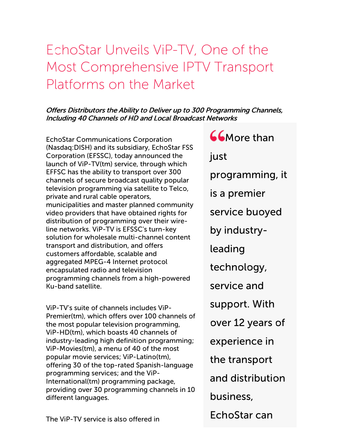# EchoStar Unveils ViP-TV, One of the Most Comprehensive IPTV Transport Platforms on the Market

### Offers Distributors the Ability to Deliver up to 300 Programming Channels, Including 40 Channels of HD and Local Broadcast Networks

EchoStar Communications Corporation (Nasdaq:DISH) and its subsidiary, EchoStar FSS Corporation (EFSSC), today announced the launch of ViP-TV(tm) service, through which EFFSC has the ability to transport over 300 channels of secure broadcast quality popular television programming via satellite to Telco, private and rural cable operators, municipalities and master planned community video providers that have obtained rights for distribution of programming over their wireline networks. ViP-TV is EFSSC's turn-key solution for wholesale multi-channel content transport and distribution, and offers customers affordable, scalable and aggregated MPEG-4 Internet protocol encapsulated radio and television programming channels from a high-powered Ku-band satellite.

ViP-TV's suite of channels includes ViP-Premier(tm), which offers over 100 channels of the most popular television programming, ViP-HD(tm), which boasts 40 channels of industry-leading high definition programming; ViP-Movies(tm), a menu of 40 of the most popular movie services; ViP-Latino(tm), offering 30 of the top-rated Spanish-language programming services; and the ViP-International(tm) programming package, providing over 30 programming channels in 10 different languages.

**66**More than just programming, it is a premier service buoyed by industryleading technology, service and support. With over 12 years of experience in the transport and distribution business,

EchoStar can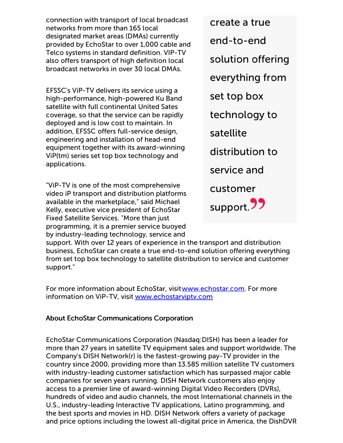connection with transport of local broadcast networks from more than 165 local designated market areas (DMAs) currently provided by EchoStar to over 1,000 cable and Telco systems in standard definition. VIP-TV also offers transport of high definition local broadcast networks in over 30 local DMAs.

EFSSC's ViP-TV delivers its service using a high-performance, high-powered Ku Band satellite with full continental United Sates coverage, so that the service can be rapidly deployed and is low cost to maintain. In addition, EFSSC offers full-service design, engineering and installation of head-end equipment together with its award-winning ViP(tm) series set top box technology and applications.

"ViP-TV is one of the most comprehensive video iP transport and distribution platforms available in the marketplace," said Michael Kelly, executive vice president of EchoStar Fixed Satellite Services. "More than just programming, it is a premier service buoyed by industry-leading technology, service and

create a true end-to-end solution offering everything from set top box technology to satellite distribution to service and customer support **77** 

support. With over 12 years of experience in the transport and distribution business, EchoStar can create a true end-to-end solution offering everything from set top box technology to satellite distribution to service and customer support."

For more information about EchoStar, visit [www.echostar.com](http://cts.businesswire.com/ct/CT?id=smartlink&url=http%3A%2F%2Fwww.echostar.com%2F&esheet=50415958&lan=en-US&anchor=www.echostar.com&index=1&md5=79d3981f3fbfeaccaa7b3885d7e8b6be). For more information on ViP-TV, visit [www.echostarviptv.com](http://cts.businesswire.com/ct/CT?id=smartlink&url=http%3A%2F%2Fwww.echostarviptv.com%2F&esheet=50415958&lan=en-US&anchor=www.echostarviptv.com&index=2&md5=d5d88c4be46fe288892a4fdb00319588)

#### About EchoStar Communications Corporation

EchoStar Communications Corporation (Nasdaq:DISH) has been a leader for more than 27 years in satellite TV equipment sales and support worldwide. The Company's DISH Network(r) is the fastest-growing pay-TV provider in the country since 2000, providing more than 13.585 million satellite TV customers with industry-leading customer satisfaction which has surpassed major cable companies for seven years running. DISH Network customers also enjoy access to a premier line of award-winning Digital Video Recorders (DVRs), hundreds of video and audio channels, the most International channels in the U.S., industry-leading Interactive TV applications, Latino programming, and the best sports and movies in HD. DISH Network offers a variety of package and price options including the lowest all-digital price in America, the DishDVR